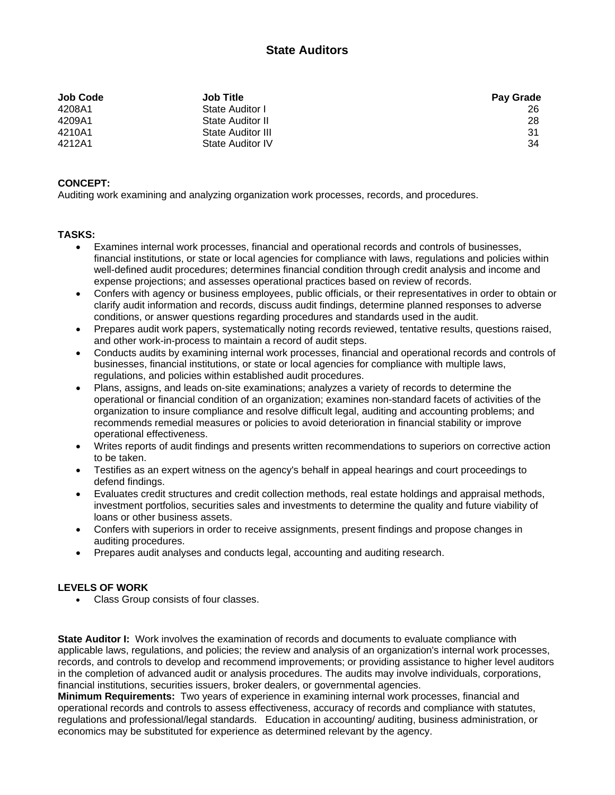## **State Auditors**

| <b>Job Code</b> | <b>Job Title</b>  | <b>Pay Grade</b> |
|-----------------|-------------------|------------------|
| 4208A1          | State Auditor I   | 26               |
| 4209A1          | State Auditor II  | 28               |
| 4210A1          | State Auditor III | -31              |
| 4212A1          | State Auditor IV  | 34               |

## **CONCEPT:**

Auditing work examining and analyzing organization work processes, records, and procedures.

## **TASKS:**

- Examines internal work processes, financial and operational records and controls of businesses, financial institutions, or state or local agencies for compliance with laws, regulations and policies within well-defined audit procedures; determines financial condition through credit analysis and income and expense projections; and assesses operational practices based on review of records.
- Confers with agency or business employees, public officials, or their representatives in order to obtain or clarify audit information and records, discuss audit findings, determine planned responses to adverse conditions, or answer questions regarding procedures and standards used in the audit.
- Prepares audit work papers, systematically noting records reviewed, tentative results, questions raised, and other work-in-process to maintain a record of audit steps.
- Conducts audits by examining internal work processes, financial and operational records and controls of businesses, financial institutions, or state or local agencies for compliance with multiple laws, regulations, and policies within established audit procedures.
- Plans, assigns, and leads on-site examinations; analyzes a variety of records to determine the operational or financial condition of an organization; examines non-standard facets of activities of the organization to insure compliance and resolve difficult legal, auditing and accounting problems; and recommends remedial measures or policies to avoid deterioration in financial stability or improve operational effectiveness.
- Writes reports of audit findings and presents written recommendations to superiors on corrective action to be taken.
- Testifies as an expert witness on the agency's behalf in appeal hearings and court proceedings to defend findings.
- Evaluates credit structures and credit collection methods, real estate holdings and appraisal methods, investment portfolios, securities sales and investments to determine the quality and future viability of loans or other business assets.
- Confers with superiors in order to receive assignments, present findings and propose changes in auditing procedures.
- Prepares audit analyses and conducts legal, accounting and auditing research.

## **LEVELS OF WORK**

Class Group consists of four classes.

**State Auditor I:** Work involves the examination of records and documents to evaluate compliance with applicable laws, regulations, and policies; the review and analysis of an organization's internal work processes, records, and controls to develop and recommend improvements; or providing assistance to higher level auditors in the completion of advanced audit or analysis procedures. The audits may involve individuals, corporations, financial institutions, securities issuers, broker dealers, or governmental agencies.

**Minimum Requirements:** Two years of experience in examining internal work processes, financial and operational records and controls to assess effectiveness, accuracy of records and compliance with statutes, regulations and professional/legal standards. Education in accounting/ auditing, business administration, or economics may be substituted for experience as determined relevant by the agency.